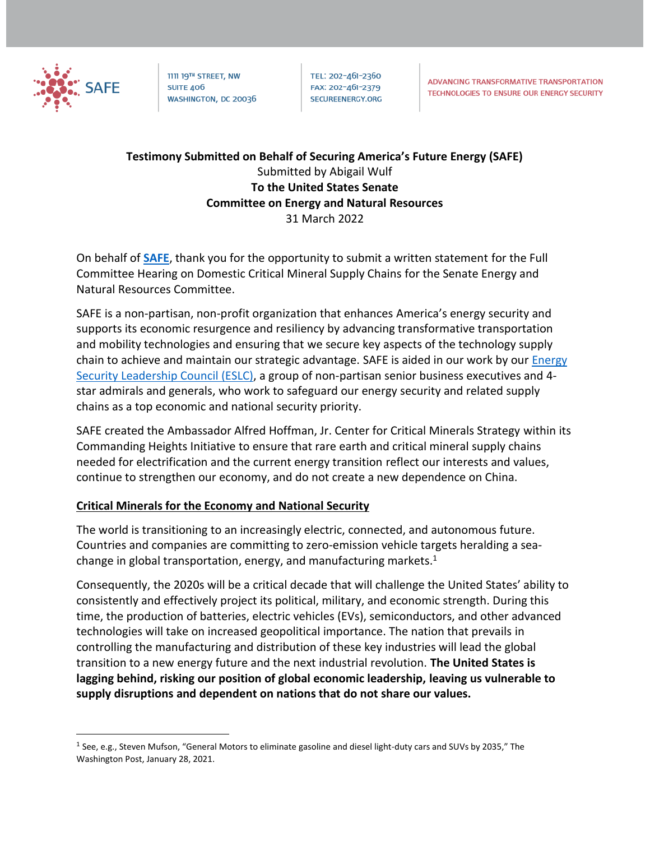

1111 19TH STREET, NW **SUITE 406** WASHINGTON, DC 20036 TEL: 202-461-2360 FAX: 202-461-2379 SECUREENERGY.ORG

## **Testimony Submitted on Behalf of Securing America's Future Energy (SAFE)** Submitted by Abigail Wulf **To the United States Senate Committee on Energy and Natural Resources** 31 March 2022

On behalf of **[SAFE](https://secureenergy.org/energy-security-leadership-council/)**, thank you for the opportunity to submit a written statement for the Full Committee Hearing on Domestic Critical Mineral Supply Chains for the Senate Energy and Natural Resources Committee.

SAFE is a non-partisan, non-profit organization that enhances America's energy security and supports its economic resurgence and resiliency by advancing transformative transportation and mobility technologies and ensuring that we secure key aspects of the technology supply chain to achieve and maintain our strategic advantage. SAFE is aided in our work by our [Energy](https://secureenergy.org/energy-security-leadership-council/)  [Security Leadership Council \(ESLC\),](https://secureenergy.org/energy-security-leadership-council/) a group of non-partisan senior business executives and 4 star admirals and generals, who work to safeguard our energy security and related supply chains as a top economic and national security priority.

SAFE created the Ambassador Alfred Hoffman, Jr. Center for Critical Minerals Strategy within its Commanding Heights Initiative to ensure that rare earth and critical mineral supply chains needed for electrification and the current energy transition reflect our interests and values, continue to strengthen our economy, and do not create a new dependence on China.

### **Critical Minerals for the Economy and National Security**

The world is transitioning to an increasingly electric, connected, and autonomous future. Countries and companies are committing to zero-emission vehicle targets heralding a seachange in global transportation, energy, and manufacturing markets. $1$ 

Consequently, the 2020s will be a critical decade that will challenge the United States' ability to consistently and effectively project its political, military, and economic strength. During this time, the production of batteries, electric vehicles (EVs), semiconductors, and other advanced technologies will take on increased geopolitical importance. The nation that prevails in controlling the manufacturing and distribution of these key industries will lead the global transition to a new energy future and the next industrial revolution. **The United States is lagging behind, risking our position of global economic leadership, leaving us vulnerable to supply disruptions and dependent on nations that do not share our values.** 

<sup>&</sup>lt;sup>1</sup> See, e.g., Steven Mufson, "General Motors to eliminate gasoline and diesel light-duty cars and SUVs by 2035," The Washington Post, January 28, 2021.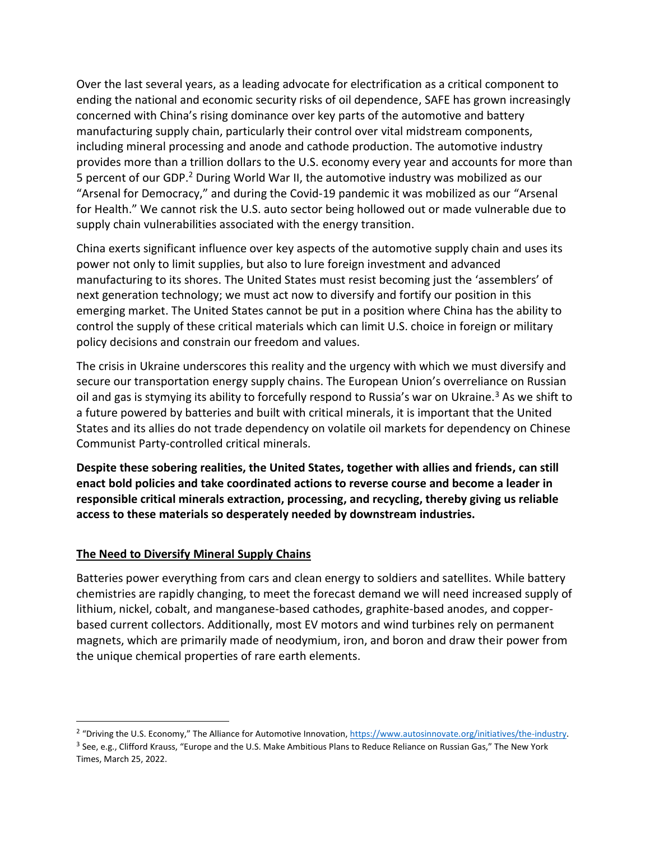Over the last several years, as a leading advocate for electrification as a critical component to ending the national and economic security risks of oil dependence, SAFE has grown increasingly concerned with China's rising dominance over key parts of the automotive and battery manufacturing supply chain, particularly their control over vital midstream components, including mineral processing and anode and cathode production. The automotive industry provides more than a trillion dollars to the U.S. economy every year and accounts for more than 5 percent of our GDP.<sup>2</sup> During World War II, the automotive industry was mobilized as our "Arsenal for Democracy," and during the Covid-19 pandemic it was mobilized as our "Arsenal for Health." We cannot risk the U.S. auto sector being hollowed out or made vulnerable due to supply chain vulnerabilities associated with the energy transition.

China exerts significant influence over key aspects of the automotive supply chain and uses its power not only to limit supplies, but also to lure foreign investment and advanced manufacturing to its shores. The United States must resist becoming just the 'assemblers' of next generation technology; we must act now to diversify and fortify our position in this emerging market. The United States cannot be put in a position where China has the ability to control the supply of these critical materials which can limit U.S. choice in foreign or military policy decisions and constrain our freedom and values.

The crisis in Ukraine underscores this reality and the urgency with which we must diversify and secure our transportation energy supply chains. The European Union's overreliance on Russian oil and gas is stymying its ability to forcefully respond to Russia's war on Ukraine.<sup>3</sup> As we shift to a future powered by batteries and built with critical minerals, it is important that the United States and its allies do not trade dependency on volatile oil markets for dependency on Chinese Communist Party-controlled critical minerals.

**Despite these sobering realities, the United States, together with allies and friends, can still enact bold policies and take coordinated actions to reverse course and become a leader in responsible critical minerals extraction, processing, and recycling, thereby giving us reliable access to these materials so desperately needed by downstream industries.** 

### **The Need to Diversify Mineral Supply Chains**

Batteries power everything from cars and clean energy to soldiers and satellites. While battery chemistries are rapidly changing, to meet the forecast demand we will need increased supply of lithium, nickel, cobalt, and manganese-based cathodes, graphite-based anodes, and copperbased current collectors. Additionally, most EV motors and wind turbines rely on permanent magnets, which are primarily made of neodymium, iron, and boron and draw their power from the unique chemical properties of rare earth elements.

<sup>&</sup>lt;sup>2</sup> "Driving the U.S. Economy," The Alliance for Automotive Innovation[, https://www.autosinnovate.org/initiatives/the-industry.](https://www.autosinnovate.org/initiatives/the-industry)

<sup>&</sup>lt;sup>3</sup> See, e.g., Clifford Krauss, "Europe and the U.S. Make Ambitious Plans to Reduce Reliance on Russian Gas," The New York Times, March 25, 2022.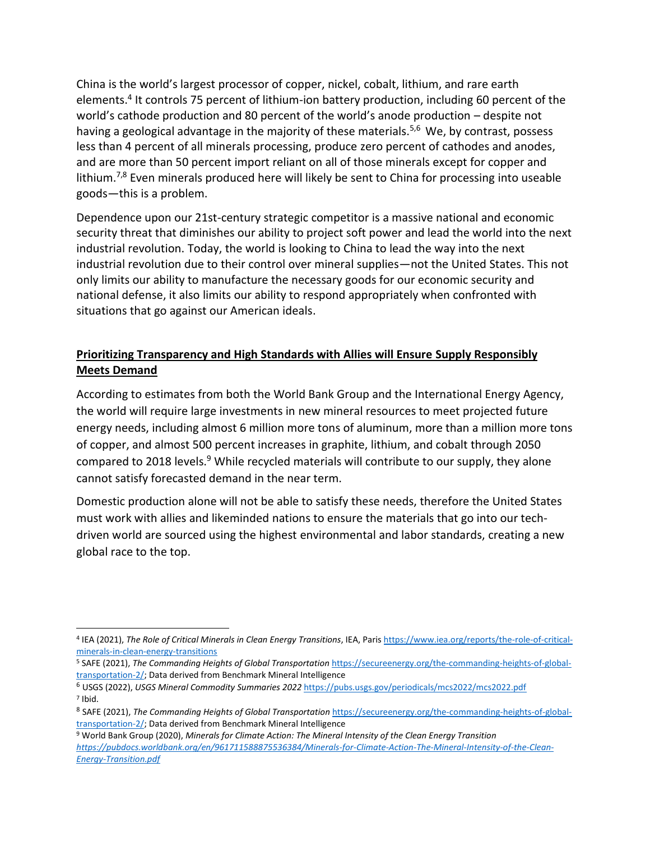China is the world's largest processor of copper, nickel, cobalt, lithium, and rare earth elements.<sup>4</sup> It controls 75 percent of lithium-ion battery production, including 60 percent of the world's cathode production and 80 percent of the world's anode production – despite not having a geological advantage in the majority of these materials.<sup>5,6</sup> We, by contrast, possess less than 4 percent of all minerals processing, produce zero percent of cathodes and anodes, and are more than 50 percent import reliant on all of those minerals except for copper and lithium.<sup>7,8</sup> Even minerals produced here will likely be sent to China for processing into useable goods—this is a problem.

Dependence upon our 21st-century strategic competitor is a massive national and economic security threat that diminishes our ability to project soft power and lead the world into the next industrial revolution. Today, the world is looking to China to lead the way into the next industrial revolution due to their control over mineral supplies—not the United States. This not only limits our ability to manufacture the necessary goods for our economic security and national defense, it also limits our ability to respond appropriately when confronted with situations that go against our American ideals.

# **Prioritizing Transparency and High Standards with Allies will Ensure Supply Responsibly Meets Demand**

According to estimates from both the World Bank Group and the International Energy Agency, the world will require large investments in new mineral resources to meet projected future energy needs, including almost 6 million more tons of aluminum, more than a million more tons of copper, and almost 500 percent increases in graphite, lithium, and cobalt through 2050 compared to 2018 levels.<sup>9</sup> While recycled materials will contribute to our supply, they alone cannot satisfy forecasted demand in the near term.

Domestic production alone will not be able to satisfy these needs, therefore the United States must work with allies and likeminded nations to ensure the materials that go into our techdriven world are sourced using the highest environmental and labor standards, creating a new global race to the top.

<sup>4</sup> IEA (2021), *The Role of Critical Minerals in Clean Energy Transitions*, IEA, Pari[s https://www.iea.org/reports/the-role-of-critical](https://www.iea.org/reports/the-role-of-critical-minerals-in-clean-energy-transitions)[minerals-in-clean-energy-transitions](https://www.iea.org/reports/the-role-of-critical-minerals-in-clean-energy-transitions)

<sup>5</sup> SAFE (2021), *The Commanding Heights of Global Transportation* [https://secureenergy.org/the-commanding-heights-of-global](https://secureenergy.org/the-commanding-heights-of-global-transportation-2/)[transportation-2/;](https://secureenergy.org/the-commanding-heights-of-global-transportation-2/) Data derived from Benchmark Mineral Intelligence

<sup>6</sup> USGS (2022), *USGS Mineral Commodity Summaries 2022* <https://pubs.usgs.gov/periodicals/mcs2022/mcs2022.pdf> 7 Ibid.

<sup>&</sup>lt;sup>8</sup> SAFE (2021), *The Commanding Heights of Global Transportation* [https://secureenergy.org/the-commanding-heights-of-global](https://secureenergy.org/the-commanding-heights-of-global-transportation-2/)[transportation-2/;](https://secureenergy.org/the-commanding-heights-of-global-transportation-2/) Data derived from Benchmark Mineral Intelligence

<sup>9</sup> World Bank Group (2020), *Minerals for Climate Action: The Mineral Intensity of the Clean Energy Transition [https://pubdocs.worldbank.org/en/961711588875536384/Minerals-for-Climate-Action-The-Mineral-Intensity-of-the-Clean-](https://pubdocs.worldbank.org/en/961711588875536384/Minerals-for-Climate-Action-The-Mineral-Intensity-of-the-Clean-Energy-Transition.pdf)[Energy-Transition.pdf](https://pubdocs.worldbank.org/en/961711588875536384/Minerals-for-Climate-Action-The-Mineral-Intensity-of-the-Clean-Energy-Transition.pdf)*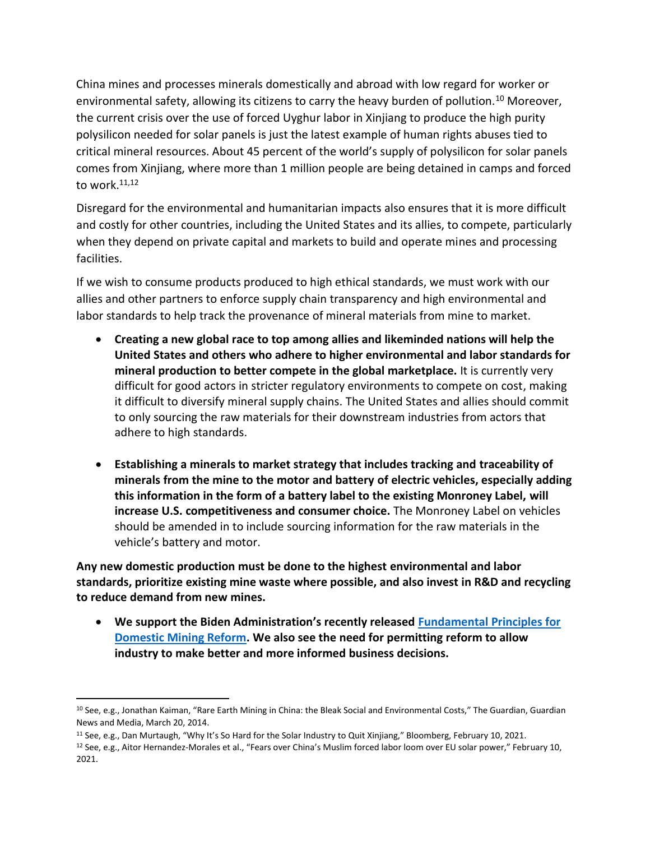China mines and processes minerals domestically and abroad with low regard for worker or environmental safety, allowing its citizens to carry the heavy burden of pollution.<sup>10</sup> Moreover, the current crisis over the use of forced Uyghur labor in Xinjiang to produce the high purity polysilicon needed for solar panels is just the latest example of human rights abuses tied to critical mineral resources. About 45 percent of the world's supply of polysilicon for solar panels comes from Xinjiang, where more than 1 million people are being detained in camps and forced to work. $11,12$ 

Disregard for the environmental and humanitarian impacts also ensures that it is more difficult and costly for other countries, including the United States and its allies, to compete, particularly when they depend on private capital and markets to build and operate mines and processing facilities.

If we wish to consume products produced to high ethical standards, we must work with our allies and other partners to enforce supply chain transparency and high environmental and labor standards to help track the provenance of mineral materials from mine to market.

- **Creating a new global race to top among allies and likeminded nations will help the United States and others who adhere to higher environmental and labor standards for mineral production to better compete in the global marketplace.** It is currently very difficult for good actors in stricter regulatory environments to compete on cost, making it difficult to diversify mineral supply chains. The United States and allies should commit to only sourcing the raw materials for their downstream industries from actors that adhere to high standards.
- **Establishing a minerals to market strategy that includes tracking and traceability of minerals from the mine to the motor and battery of electric vehicles, especially adding this information in the form of a battery label to the existing Monroney Label, will increase U.S. competitiveness and consumer choice.** The Monroney Label on vehicles should be amended in to include sourcing information for the raw materials in the vehicle's battery and motor.

**Any new domestic production must be done to the highest environmental and labor standards, prioritize existing mine waste where possible, and also invest in R&D and recycling to reduce demand from new mines.** 

• **We support the Biden Administration's recently released [Fundamental Principles for](https://www.doi.gov/sites/doi.gov/files/biden-harris-administration-fundamental-principles-for-domestic-mining-reform.pdf)  [Domestic Mining Reform.](https://www.doi.gov/sites/doi.gov/files/biden-harris-administration-fundamental-principles-for-domestic-mining-reform.pdf) We also see the need for permitting reform to allow industry to make better and more informed business decisions.** 

<sup>&</sup>lt;sup>10</sup> See, e.g., Jonathan Kaiman, "Rare Earth Mining in China: the Bleak Social and Environmental Costs," The Guardian, Guardian News and Media, March 20, 2014.

<sup>11</sup> See, e.g., Dan Murtaugh, "Why It's So Hard for the Solar Industry to Quit Xinjiang," Bloomberg, February 10, 2021.

<sup>&</sup>lt;sup>12</sup> See, e.g., Aitor Hernandez-Morales et al., "Fears over China's Muslim forced labor loom over EU solar power," February 10, 2021.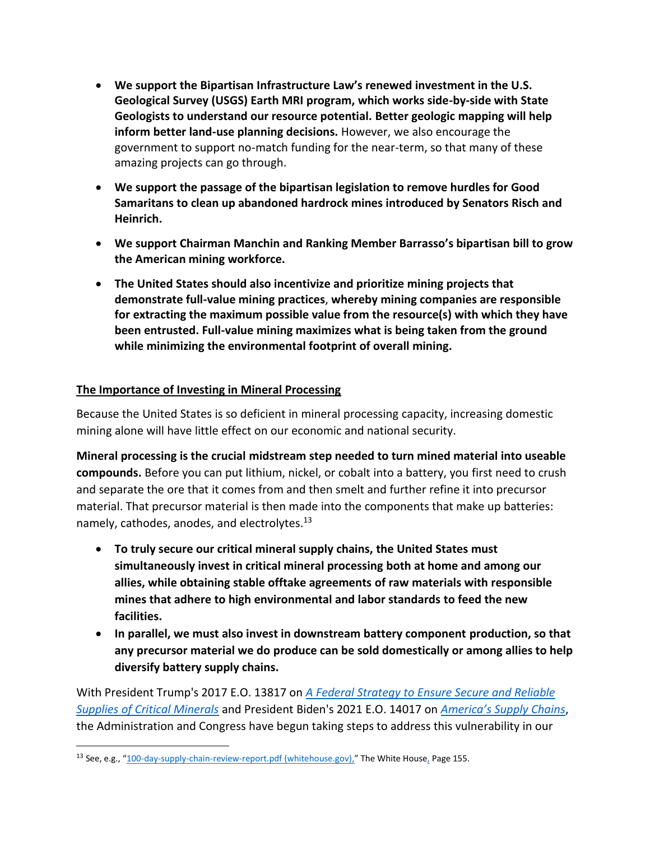- **We support the Bipartisan Infrastructure Law's renewed investment in the U.S. Geological Survey (USGS) Earth MRI program, which works side-by-side with State Geologists to understand our resource potential. Better geologic mapping will help inform better land-use planning decisions.** However, we also encourage the government to support no-match funding for the near-term, so that many of these amazing projects can go through.
- **We support the passage of the bipartisan legislation to remove hurdles for Good Samaritans to clean up abandoned hardrock mines introduced by Senators Risch and Heinrich.**
- **We support Chairman Manchin and Ranking Member Barrasso's bipartisan bill to grow the American mining workforce.**
- **The United States should also incentivize and prioritize mining projects that demonstrate full-value mining practices**, **whereby mining companies are responsible for extracting the maximum possible value from the resource(s) with which they have been entrusted. Full-value mining maximizes what is being taken from the ground while minimizing the environmental footprint of overall mining.**

### **The Importance of Investing in Mineral Processing**

Because the United States is so deficient in mineral processing capacity, increasing domestic mining alone will have little effect on our economic and national security.

**Mineral processing is the crucial midstream step needed to turn mined material into useable compounds.** Before you can put lithium, nickel, or cobalt into a battery, you first need to crush and separate the ore that it comes from and then smelt and further refine it into precursor material. That precursor material is then made into the components that make up batteries: namely, cathodes, anodes, and electrolytes.<sup>13</sup>

- **To truly secure our critical mineral supply chains, the United States must simultaneously invest in critical mineral processing both at home and among our allies, while obtaining stable offtake agreements of raw materials with responsible mines that adhere to high environmental and labor standards to feed the new facilities.**
- **In parallel, we must also invest in downstream battery component production, so that any precursor material we do produce can be sold domestically or among allies to help diversify battery supply chains.**

With President Trump's 2017 E.O. 13817 on *[A Federal Strategy to Ensure Secure and Reliable](https://www.federalregister.gov/documents/2017/12/26/2017-27899/a-federal-strategy-to-ensure-secure-and-reliable-supplies-of-critical-minerals)  [Supplies of Critical Minerals](https://www.federalregister.gov/documents/2017/12/26/2017-27899/a-federal-strategy-to-ensure-secure-and-reliable-supplies-of-critical-minerals)* and President Biden's 2021 E.O. 14017 on *[America's Supply Chains](https://www.federalregister.gov/documents/2021/03/01/2021-04280/americas-supply-chains)*, the Administration and Congress have begun taking steps to address this vulnerability in our

<sup>&</sup>lt;sup>13</sup> See, e.g., "[100-day-supply-chain-review-report.pdf \(whitehouse.gov\),](https://www.whitehouse.gov/wp-content/uploads/2021/06/100-day-supply-chain-review-report.pdf)" The White House, Page 155.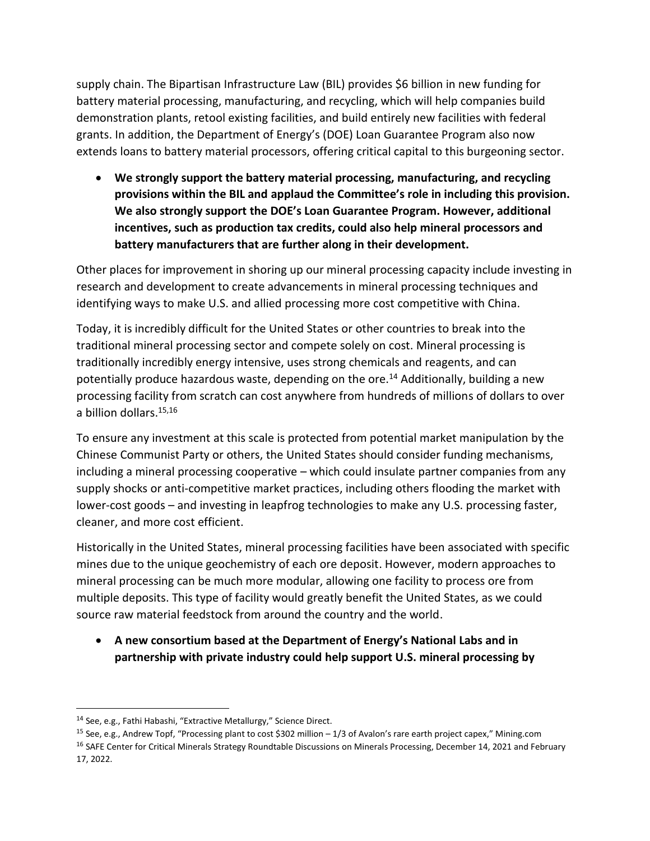supply chain. The Bipartisan Infrastructure Law (BIL) provides \$6 billion in new funding for battery material processing, manufacturing, and recycling, which will help companies build demonstration plants, retool existing facilities, and build entirely new facilities with federal grants. In addition, the Department of Energy's (DOE) Loan Guarantee Program also now extends loans to battery material processors, offering critical capital to this burgeoning sector.

• **We strongly support the battery material processing, manufacturing, and recycling provisions within the BIL and applaud the Committee's role in including this provision. We also strongly support the DOE's Loan Guarantee Program. However, additional incentives, such as production tax credits, could also help mineral processors and battery manufacturers that are further along in their development.** 

Other places for improvement in shoring up our mineral processing capacity include investing in research and development to create advancements in mineral processing techniques and identifying ways to make U.S. and allied processing more cost competitive with China.

Today, it is incredibly difficult for the United States or other countries to break into the traditional mineral processing sector and compete solely on cost. Mineral processing is traditionally incredibly energy intensive, uses strong chemicals and reagents, and can potentially produce hazardous waste, depending on the ore.<sup>14</sup> Additionally, building a new processing facility from scratch can cost anywhere from hundreds of millions of dollars to over a billion dollars.<sup>15,16</sup>

To ensure any investment at this scale is protected from potential market manipulation by the Chinese Communist Party or others, the United States should consider funding mechanisms, including a mineral processing cooperative – which could insulate partner companies from any supply shocks or anti-competitive market practices, including others flooding the market with lower-cost goods – and investing in leapfrog technologies to make any U.S. processing faster, cleaner, and more cost efficient.

Historically in the United States, mineral processing facilities have been associated with specific mines due to the unique geochemistry of each ore deposit. However, modern approaches to mineral processing can be much more modular, allowing one facility to process ore from multiple deposits. This type of facility would greatly benefit the United States, as we could source raw material feedstock from around the country and the world.

• **A new consortium based at the Department of Energy's National Labs and in partnership with private industry could help support U.S. mineral processing by** 

<sup>14</sup> See, e.g., Fathi Habashi, "Extractive Metallurgy," Science Direct.

<sup>15</sup> See, e.g., Andrew Topf, "Processing plant to cost \$302 million – 1/3 of Avalon's rare earth project capex," Mining.com <sup>16</sup> SAFE Center for Critical Minerals Strategy Roundtable Discussions on Minerals Processing, December 14, 2021 and February 17, 2022.